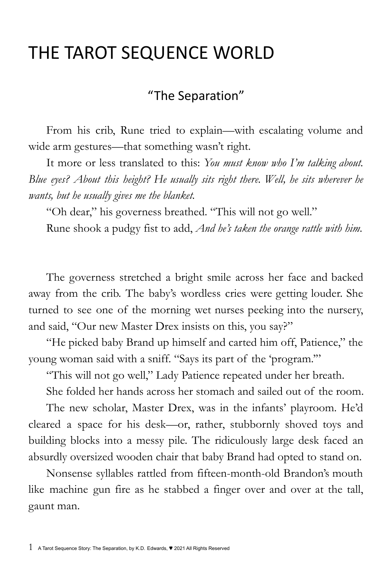## THE TAROT SEQUENCE WORLD

## "The Separation"

From his crib, Rune tried to explain—with escalating volume and wide arm gestures—that something wasn't right.

It more or less translated to this: *You must know who I'm talking about. Blue eyes? About this height? He usually sits right there. Well, he sits wherever he wants, but he usually gives me the blanket.*

"Oh dear," his governess breathed. "This will not go well."

Rune shook a pudgy fist to add, *And he's taken the orange rattle with him.*

The governess stretched a bright smile across her face and backed away from the crib. The baby's wordless cries were getting louder. She turned to see one of the morning wet nurses peeking into the nursery, and said, "Our new Master Drex insists on this, you say?"

"He picked baby Brand up himself and carted him off, Patience," the young woman said with a sniff. "Says its part of the 'program.'"

"This will not go well," Lady Patience repeated under her breath.

She folded her hands across her stomach and sailed out of the room.

The new scholar, Master Drex, was in the infants' playroom. He'd cleared a space for his desk—or, rather, stubbornly shoved toys and building blocks into a messy pile. The ridiculously large desk faced an absurdly oversized wooden chair that baby Brand had opted to stand on.

Nonsense syllables rattled from fifteen-month-old Brandon's mouth like machine gun fire as he stabbed a finger over and over at the tall, gaunt man.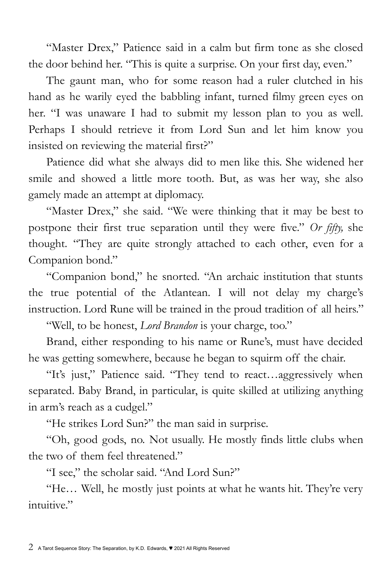"Master Drex," Patience said in a calm but firm tone as she closed the door behind her. "This is quite a surprise. On your first day, even."

The gaunt man, who for some reason had a ruler clutched in his hand as he warily eyed the babbling infant, turned filmy green eyes on her. "I was unaware I had to submit my lesson plan to you as well. Perhaps I should retrieve it from Lord Sun and let him know you insisted on reviewing the material first?"

Patience did what she always did to men like this. She widened her smile and showed a little more tooth. But, as was her way, she also gamely made an attempt at diplomacy.

"Master Drex," she said. "We were thinking that it may be best to postpone their first true separation until they were five." *Or fifty,* she thought. "They are quite strongly attached to each other, even for a Companion bond."

"Companion bond," he snorted. "An archaic institution that stunts the true potential of the Atlantean. I will not delay my charge's instruction. Lord Rune will be trained in the proud tradition of all heirs."

"Well, to be honest, *Lord Brandon* is your charge, too."

Brand, either responding to his name or Rune's, must have decided he was getting somewhere, because he began to squirm off the chair.

"It's just," Patience said. "They tend to react…aggressively when separated. Baby Brand, in particular, is quite skilled at utilizing anything in arm's reach as a cudgel."

"He strikes Lord Sun?" the man said in surprise.

"Oh, good gods, no. Not usually. He mostly finds little clubs when the two of them feel threatened."

"I see," the scholar said. "And Lord Sun?"

"He… Well, he mostly just points at what he wants hit. They're very intuitive."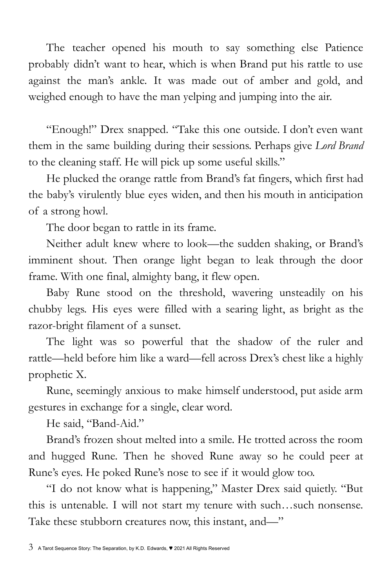The teacher opened his mouth to say something else Patience probably didn't want to hear, which is when Brand put his rattle to use against the man's ankle. It was made out of amber and gold, and weighed enough to have the man yelping and jumping into the air.

"Enough!" Drex snapped. "Take this one outside. I don't even want them in the same building during their sessions. Perhaps give *Lord Brand* to the cleaning staff. He will pick up some useful skills."

He plucked the orange rattle from Brand's fat fingers, which first had the baby's virulently blue eyes widen, and then his mouth in anticipation of a strong howl.

The door began to rattle in its frame.

Neither adult knew where to look—the sudden shaking, or Brand's imminent shout. Then orange light began to leak through the door frame. With one final, almighty bang, it flew open.

Baby Rune stood on the threshold, wavering unsteadily on his chubby legs. His eyes were filled with a searing light, as bright as the razor-bright filament of a sunset.

The light was so powerful that the shadow of the ruler and rattle—held before him like a ward—fell across Drex's chest like a highly prophetic X.

Rune, seemingly anxious to make himself understood, put aside arm gestures in exchange for a single, clear word.

He said, "Band-Aid."

Brand's frozen shout melted into a smile. He trotted across the room and hugged Rune. Then he shoved Rune away so he could peer at Rune's eyes. He poked Rune's nose to see if it would glow too.

"I do not know what is happening," Master Drex said quietly. "But this is untenable. I will not start my tenure with such…such nonsense. Take these stubborn creatures now, this instant, and—"